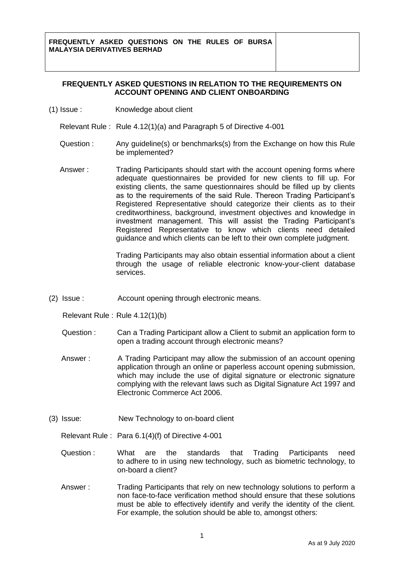## **FREQUENTLY ASKED QUESTIONS IN RELATION TO THE REQUIREMENTS ON ACCOUNT OPENING AND CLIENT ONBOARDING**

(1) Issue : Knowledge about client

Relevant Rule : Rule 4.12(1)(a) and Paragraph 5 of Directive 4-001

- Question : Any guideline(s) or benchmarks(s) from the Exchange on how this Rule be implemented?
- Answer : Trading Participants should start with the account opening forms where adequate questionnaires be provided for new clients to fill up. For existing clients, the same questionnaires should be filled up by clients as to the requirements of the said Rule. Thereon Trading Participant's Registered Representative should categorize their clients as to their creditworthiness, background, investment objectives and knowledge in investment management. This will assist the Trading Participant's Registered Representative to know which clients need detailed guidance and which clients can be left to their own complete judgment.

Trading Participants may also obtain essential information about a client through the usage of reliable electronic know-your-client database services.

(2) Issue : Account opening through electronic means.

Relevant Rule : Rule 4.12(1)(b)

- Question : Can a Trading Participant allow a Client to submit an application form to open a trading account through electronic means?
- Answer : A Trading Participant may allow the submission of an account opening application through an online or paperless account opening submission, which may include the use of digital signature or electronic signature complying with the relevant laws such as Digital Signature Act 1997 and Electronic Commerce Act 2006.
- (3) Issue: New Technology to on-board client

Relevant Rule : Para 6.1(4)(f) of Directive 4-001

- Question : What are the standards that Trading Participants need to adhere to in using new technology, such as biometric technology, to on-board a client?
- Answer : Trading Participants that rely on new technology solutions to perform a non face-to-face verification method should ensure that these solutions must be able to effectively identify and verify the identity of the client. For example, the solution should be able to, amongst others: